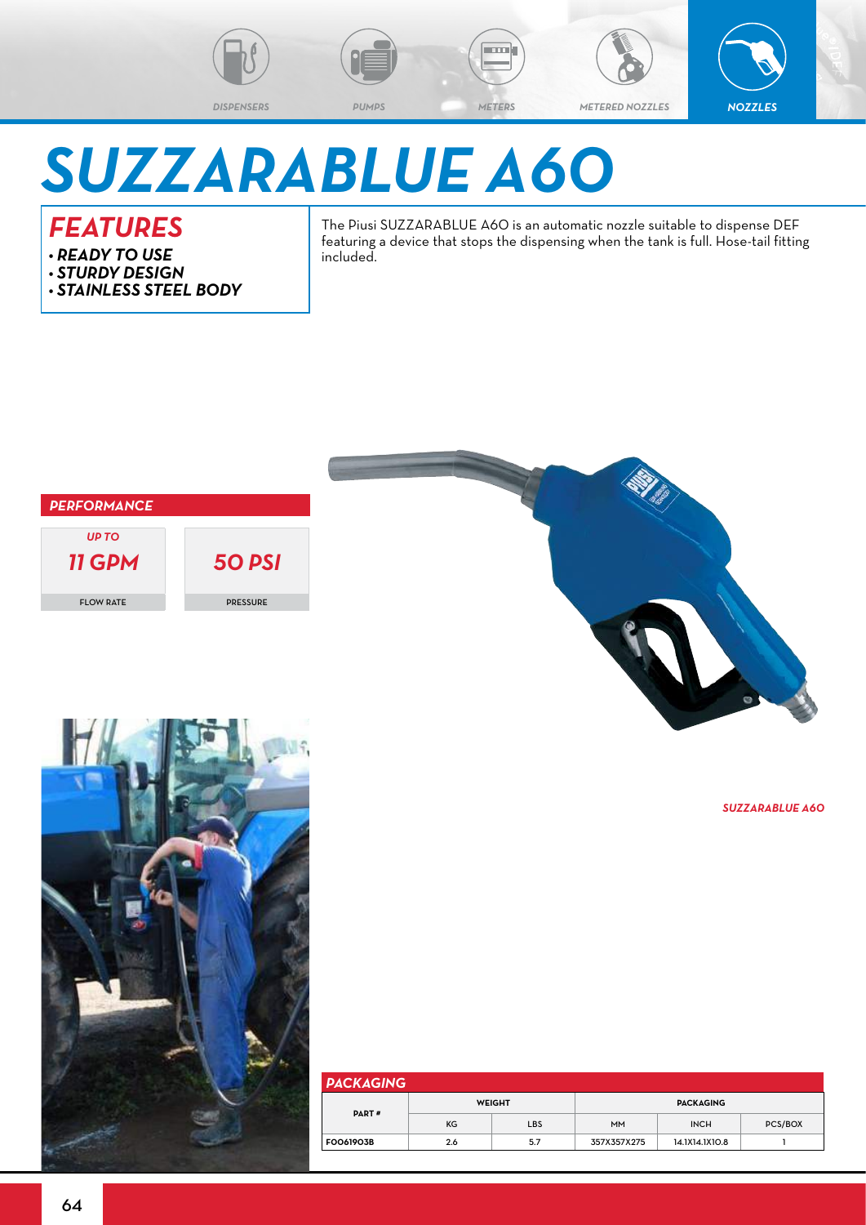

**Emi** 

*DISPENSERS PUMPS METERS METERED NOZZLES NOZZLES*



## *SUZZARABLUE A60*

## *FEATURES*

- *• READY TO USE*
- *• STURDY DESIGN*
- *• STAINLESS STEEL BODY*

The Piusi SUZZARABLUE A60 is an automatic nozzle suitable to dispense DEF featuring a device that stops the dispensing when the tank is full. Hose-tail fitting included.





*SUZZARABLUE A60*



| <b>PACKAGING</b> |               |     |                  |                |                |  |  |  |  |  |
|------------------|---------------|-----|------------------|----------------|----------------|--|--|--|--|--|
| <b>PART#</b>     | <b>WEIGHT</b> |     | <b>PACKAGING</b> |                |                |  |  |  |  |  |
|                  | KG            | LBS | <b>MM</b>        | <b>INCH</b>    | <b>PCS/BOX</b> |  |  |  |  |  |
| <b>FOO61903B</b> | 2.6           | 5.7 | 357X357X275      | 14.1X14.1X10.8 |                |  |  |  |  |  |